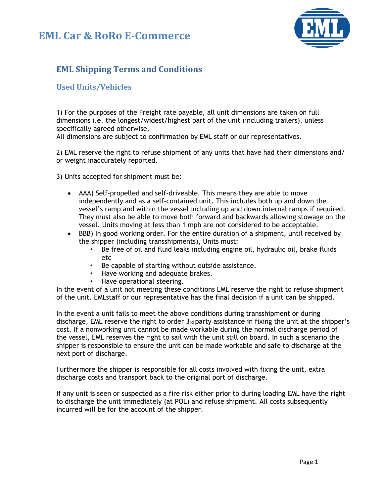## **EML Car & RoRo E-Commerce**



## **EML Shipping Terms and Conditions**

## **Used Units/Vehicles**

1) For the purposes of the Freight rate payable, all unit dimensions are taken on full dimensions i.e. the longest/widest/highest part of the unit (including trailers), unless specifically agreed otherwise.

All dimensions are subject to confirmation by EML staff or our representatives.

2) EML reserve the right to refuse shipment of any units that have had their dimensions and/ or weight inaccurately reported.

3) Units accepted for shipment must be:

- AAA) Self-propelled and self-driveable. This means they are able to move independently and as a self-contained unit. This includes both up and down the vessel's ramp and within the vessel including up and down internal ramps if required. They must also be able to move both forward and backwards allowing stowage on the vessel. Units moving at less than 1 mph are not considered to be acceptable.
- BBB) In good working order. For the entire duration of a shipment, until received by the shipper (including transshipments), Units must:
	- Be free of oil and fluid leaks including engine oil, hydraulic oil, brake fluids etc
	- Be capable of starting without outside assistance.
	- Have working and adequate brakes.
	- Have operational steering.

In the event of a unit not meeting these conditions EML reserve the right to refuse shipment of the unit. EMLstaff or our representative has the final decision if a unit can be shipped.

In the event a unit fails to meet the above conditions during transshipment or during discharge, EML reserve the right to order  $3<sub>rd</sub>$  party assistance in fixing the unit at the shipper's cost. If a nonworking unit cannot be made workable during the normal discharge period of the vessel, EML reserves the right to sail with the unit still on board. In such a scenario the shipper is responsible to ensure the unit can be made workable and safe to discharge at the next port of discharge.

Furthermore the shipper is responsible for all costs involved with fixing the unit, extra discharge costs and transport back to the original port of discharge.

If any unit is seen or suspected as a fire risk either prior to during loading EML have the right to discharge the unit immediately (at POL) and refuse shipment. All costs subsequently incurred will be for the account of the shipper.